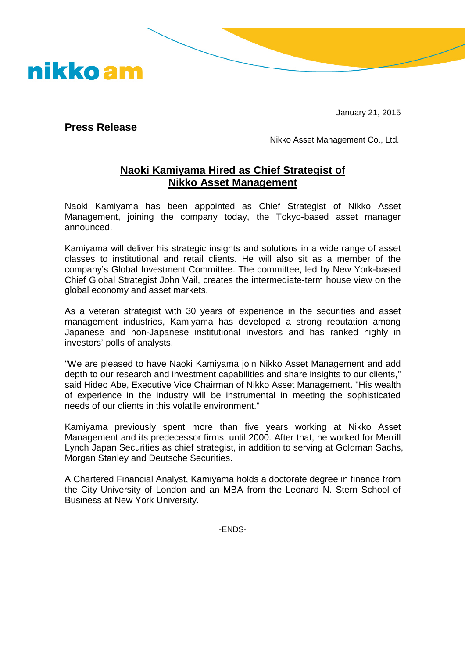January 21, 2015

**Press Release**

nikko am

Nikko Asset Management Co., Ltd.

## **Naoki Kamiyama Hired as Chief Strategist of Nikko Asset Management**

Naoki Kamiyama has been appointed as Chief Strategist of Nikko Asset Management, joining the company today, the Tokyo-based asset manager announced.

Kamiyama will deliver his strategic insights and solutions in a wide range of asset classes to institutional and retail clients. He will also sit as a member of the company's Global Investment Committee. The committee, led by New York-based Chief Global Strategist John Vail, creates the intermediate-term house view on the global economy and asset markets.

As a veteran strategist with 30 years of experience in the securities and asset management industries, Kamiyama has developed a strong reputation among Japanese and non-Japanese institutional investors and has ranked highly in investors' polls of analysts.

"We are pleased to have Naoki Kamiyama join Nikko Asset Management and add depth to our research and investment capabilities and share insights to our clients," said Hideo Abe, Executive Vice Chairman of Nikko Asset Management. "His wealth of experience in the industry will be instrumental in meeting the sophisticated needs of our clients in this volatile environment."

Kamiyama previously spent more than five years working at Nikko Asset Management and its predecessor firms, until 2000. After that, he worked for Merrill Lynch Japan Securities as chief strategist, in addition to serving at Goldman Sachs, Morgan Stanley and Deutsche Securities.

A Chartered Financial Analyst, Kamiyama holds a doctorate degree in finance from the City University of London and an MBA from the Leonard N. Stern School of Business at New York University.

-ENDS-